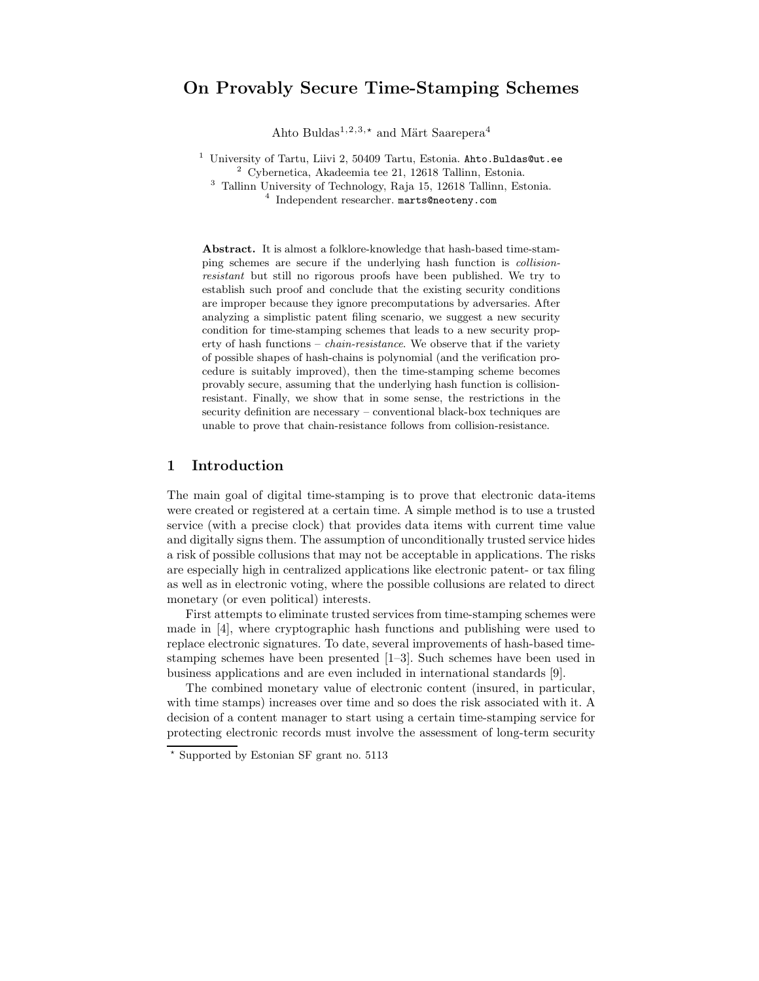# On Provably Secure Time-Stamping Schemes

Ahto Buldas<sup>1,2,3,\*</sup> and Märt Saarepera<sup>4</sup>

<sup>1</sup> University of Tartu, Liivi 2, 50409 Tartu, Estonia. Ahto.Buldas@ut.ee Cybernetica, Akadeemia tee 21, 12618 Tallinn, Estonia. Tallinn University of Technology, Raja 15, 12618 Tallinn, Estonia. Independent researcher. marts@neoteny.com

Abstract. It is almost a folklore-knowledge that hash-based time-stamping schemes are secure if the underlying hash function is collisionresistant but still no rigorous proofs have been published. We try to establish such proof and conclude that the existing security conditions are improper because they ignore precomputations by adversaries. After analyzing a simplistic patent filing scenario, we suggest a new security condition for time-stamping schemes that leads to a new security property of hash functions – chain-resistance. We observe that if the variety of possible shapes of hash-chains is polynomial (and the verification procedure is suitably improved), then the time-stamping scheme becomes provably secure, assuming that the underlying hash function is collisionresistant. Finally, we show that in some sense, the restrictions in the security definition are necessary – conventional black-box techniques are unable to prove that chain-resistance follows from collision-resistance.

### 1 Introduction

The main goal of digital time-stamping is to prove that electronic data-items were created or registered at a certain time. A simple method is to use a trusted service (with a precise clock) that provides data items with current time value and digitally signs them. The assumption of unconditionally trusted service hides a risk of possible collusions that may not be acceptable in applications. The risks are especially high in centralized applications like electronic patent- or tax filing as well as in electronic voting, where the possible collusions are related to direct monetary (or even political) interests.

First attempts to eliminate trusted services from time-stamping schemes were made in [4], where cryptographic hash functions and publishing were used to replace electronic signatures. To date, several improvements of hash-based timestamping schemes have been presented [1–3]. Such schemes have been used in business applications and are even included in international standards [9].

The combined monetary value of electronic content (insured, in particular, with time stamps) increases over time and so does the risk associated with it. A decision of a content manager to start using a certain time-stamping service for protecting electronic records must involve the assessment of long-term security

<sup>?</sup> Supported by Estonian SF grant no. 5113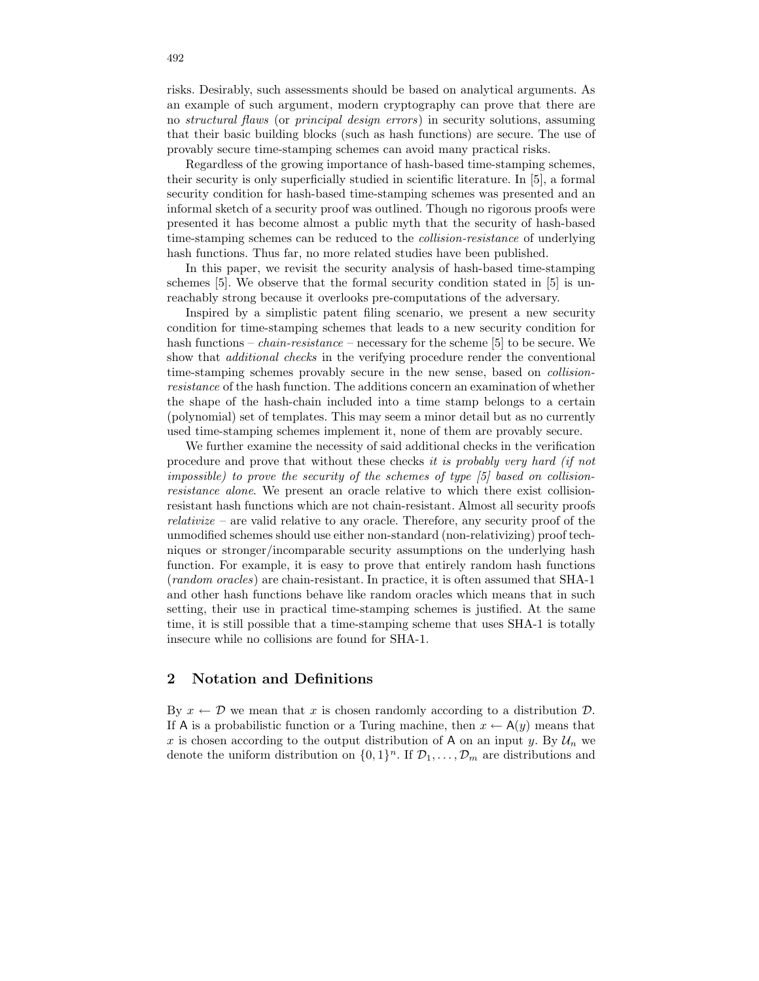risks. Desirably, such assessments should be based on analytical arguments. As an example of such argument, modern cryptography can prove that there are no structural flaws (or principal design errors) in security solutions, assuming that their basic building blocks (such as hash functions) are secure. The use of provably secure time-stamping schemes can avoid many practical risks.

Regardless of the growing importance of hash-based time-stamping schemes, their security is only superficially studied in scientific literature. In [5], a formal security condition for hash-based time-stamping schemes was presented and an informal sketch of a security proof was outlined. Though no rigorous proofs were presented it has become almost a public myth that the security of hash-based time-stamping schemes can be reduced to the collision-resistance of underlying hash functions. Thus far, no more related studies have been published.

In this paper, we revisit the security analysis of hash-based time-stamping schemes [5]. We observe that the formal security condition stated in [5] is unreachably strong because it overlooks pre-computations of the adversary.

Inspired by a simplistic patent filing scenario, we present a new security condition for time-stamping schemes that leads to a new security condition for hash functions – *chain-resistance* – necessary for the scheme [5] to be secure. We show that *additional checks* in the verifying procedure render the conventional time-stamping schemes provably secure in the new sense, based on *collision*resistance of the hash function. The additions concern an examination of whether the shape of the hash-chain included into a time stamp belongs to a certain (polynomial) set of templates. This may seem a minor detail but as no currently used time-stamping schemes implement it, none of them are provably secure.

We further examine the necessity of said additional checks in the verification procedure and prove that without these checks it is probably very hard (if not impossible) to prove the security of the schemes of type [5] based on collisionresistance alone. We present an oracle relative to which there exist collisionresistant hash functions which are not chain-resistant. Almost all security proofs  $relativize$  – are valid relative to any oracle. Therefore, any security proof of the unmodified schemes should use either non-standard (non-relativizing) proof techniques or stronger/incomparable security assumptions on the underlying hash function. For example, it is easy to prove that entirely random hash functions (random oracles) are chain-resistant. In practice, it is often assumed that SHA-1 and other hash functions behave like random oracles which means that in such setting, their use in practical time-stamping schemes is justified. At the same time, it is still possible that a time-stamping scheme that uses SHA-1 is totally insecure while no collisions are found for SHA-1.

### 2 Notation and Definitions

By  $x \leftarrow \mathcal{D}$  we mean that x is chosen randomly according to a distribution  $\mathcal{D}$ . If A is a probabilistic function or a Turing machine, then  $x \leftarrow A(y)$  means that x is chosen according to the output distribution of A on an input y. By  $\mathcal{U}_n$  we denote the uniform distribution on  $\{0,1\}^n$ . If  $\mathcal{D}_1, \ldots, \mathcal{D}_m$  are distributions and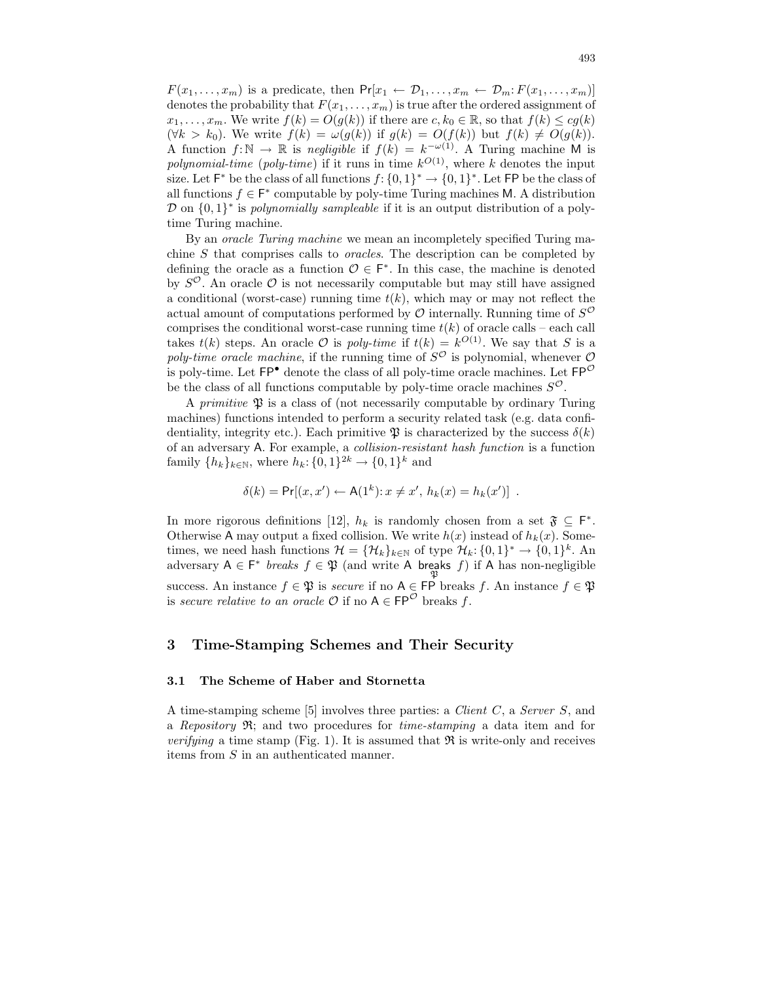$F(x_1, \ldots, x_m)$  is a predicate, then  $Pr[x_1 \leftarrow \mathcal{D}_1, \ldots, x_m \leftarrow \mathcal{D}_m: F(x_1, \ldots, x_m)]$ denotes the probability that  $F(x_1, \ldots, x_m)$  is true after the ordered assignment of  $x_1, \ldots, x_m$ . We write  $f(k) = O(g(k))$  if there are  $c, k_0 \in \mathbb{R}$ , so that  $f(k) \leq cg(k)$  $(\forall k > k_0)$ . We write  $f(k) = \omega(g(k))$  if  $g(k) = O(f(k))$  but  $f(k) \neq O(g(k))$ . A function  $f: \mathbb{N} \to \mathbb{R}$  is negligible if  $f(k) = k^{-\omega(1)}$ . A Turing machine M is polynomial-time (poly-time) if it runs in time  $k^{O(1)}$ , where k denotes the input size. Let  $\mathsf{F}^*$  be the class of all functions  $f: \{0,1\}^* \to \{0,1\}^*$ . Let  $\mathsf{FP}$  be the class of all functions  $f \in \mathsf{F}^*$  computable by poly-time Turing machines M. A distribution  $\mathcal{D}$  on  $\{0,1\}^*$  is polynomially sampleable if it is an output distribution of a polytime Turing machine.

By an oracle Turing machine we mean an incompletely specified Turing machine S that comprises calls to oracles. The description can be completed by defining the oracle as a function  $\mathcal{O} \in \mathsf{F}^*$ . In this case, the machine is denoted by  $S^{\mathcal{O}}$ . An oracle  $\mathcal O$  is not necessarily computable but may still have assigned a conditional (worst-case) running time  $t(k)$ , which may or may not reflect the actual amount of computations performed by  $\mathcal O$  internally. Running time of  $S^{\mathcal O}$ comprises the conditional worst-case running time  $t(k)$  of oracle calls – each call takes  $t(k)$  steps. An oracle  $\mathcal O$  is poly-time if  $t(k) = k^{O(1)}$ . We say that S is a poly-time oracle machine, if the running time of  $S^{\mathcal{O}}$  is polynomial, whenever  $\mathcal O$ is poly-time. Let  $\mathsf{FP}^{\bullet}$  denote the class of all poly-time oracle machines. Let  $\mathsf{FP}^{\mathcal{O}}$ be the class of all functions computable by poly-time oracle machines  $S^{\mathcal{O}}$ .

A *primitive*  $\mathfrak P$  is a class of (not necessarily computable by ordinary Turing machines) functions intended to perform a security related task (e.g. data confidentiality, integrity etc.). Each primitive  $\mathfrak P$  is characterized by the success  $\delta(k)$ of an adversary A. For example, a collision-resistant hash function is a function family  $\{h_k\}_{k\in\mathbb{N}}$ , where  $h_k: \{0,1\}^{2k} \to \{0,1\}^k$  and

$$
\delta(k) = \Pr[(x, x') \leftarrow A(1^k): x \neq x', h_k(x) = h_k(x')] .
$$

In more rigorous definitions [12],  $h_k$  is randomly chosen from a set  $\mathfrak{F} \subseteq \mathsf{F}^*$ . Otherwise A may output a fixed collision. We write  $h(x)$  instead of  $h_k(x)$ . Sometimes, we need hash functions  $\mathcal{H} = {\mathcal{H}_k}_{k \in \mathbb{N}}$  of type  $\mathcal{H}_k: \{0,1\}^* \to \{0,1\}^k$ . An adversary  $A \in F^*$  breaks  $f \in \mathfrak{P}$  (and write A breaks f) if A has non-negligible success. An instance  $f \in \mathfrak{P}$  is secure if no  $A \in \mathsf{FP}$  breaks f. An instance  $f \in \mathfrak{P}$ is secure relative to an oracle  $\mathcal O$  if no  $A \in \mathsf{FP}^{\mathcal O}$  breaks f.

### 3 Time-Stamping Schemes and Their Security

### 3.1 The Scheme of Haber and Stornetta

A time-stamping scheme [5] involves three parties: a Client C, a Server S, and a Repository  $\mathfrak{R}$ ; and two procedures for time-stamping a data item and for *verifying* a time stamp (Fig. 1). It is assumed that  $\Re$  is write-only and receives items from S in an authenticated manner.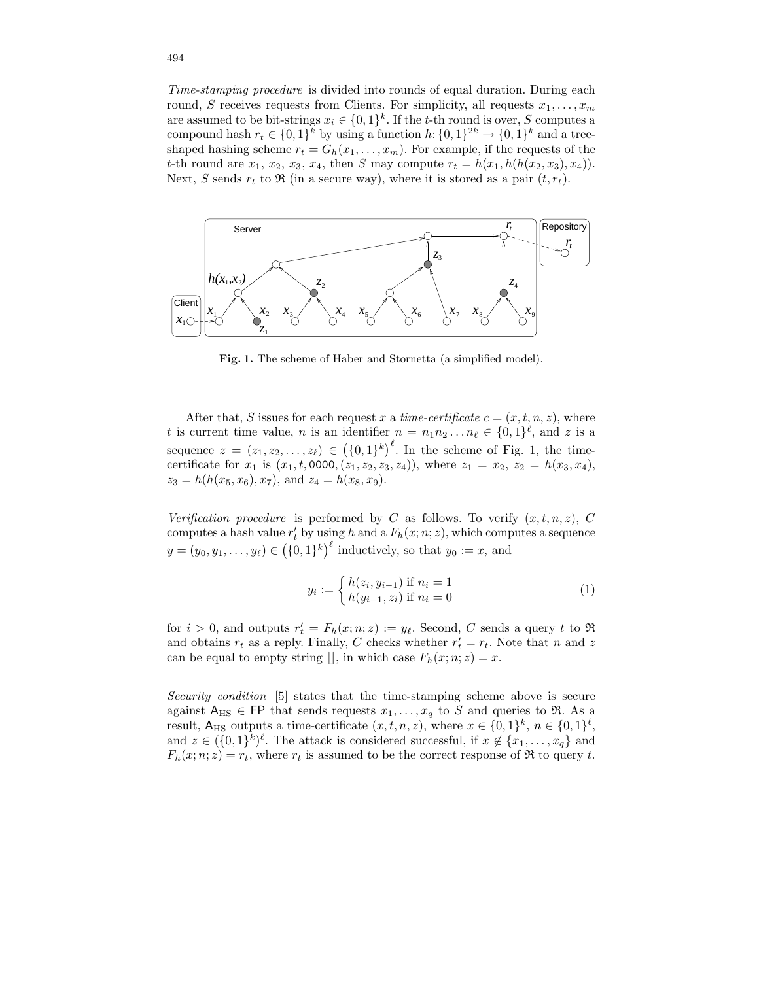Time-stamping procedure is divided into rounds of equal duration. During each round, S receives requests from Clients. For simplicity, all requests  $x_1, \ldots, x_m$ are assumed to be bit-strings  $x_i \in \{0,1\}^k$ . If the t-th round is over, S computes a compound hash  $r_t \in \{0,1\}^k$  by using a function  $h: \{0,1\}^{2k} \to \{0,1\}^k$  and a treeshaped hashing scheme  $r_t = G_h(x_1, \ldots, x_m)$ . For example, if the requests of the t-th round are  $x_1, x_2, x_3, x_4$ , then S may compute  $r_t = h(x_1, h(h(x_2, x_3), x_4))$ . Next, S sends  $r_t$  to  $\Re$  (in a secure way), where it is stored as a pair  $(t, r_t)$ .



Fig. 1. The scheme of Haber and Stornetta (a simplified model).

After that, S issues for each request x a time-certificate  $c = (x, t, n, z)$ , where t is current time value, n is an identifier  $n = n_1 n_2 ... n_\ell \in \{0, 1\}^\ell$ , and z is a sequence  $z = (z_1, z_2, \ldots, z_\ell) \in (\{0, 1\}^k)^\ell$ . In the scheme of Fig. 1, the timecertificate for  $x_1$  is  $(x_1, t, 0000, (z_1, z_2, z_3, z_4))$ , where  $z_1 = x_2, z_2 = h(x_3, x_4)$ ,  $z_3 = h(h(x_5, x_6), x_7)$ , and  $z_4 = h(x_8, x_9)$ .

Verification procedure is performed by C as follows. To verify  $(x,t,n,z)$ , C computes a hash value  $r'_t$  by using h and a  $F_h(x; n; z)$ , which computes a sequence  $y = (y_0, y_1, \dots, y_\ell) \in (\{0, 1\}^k)^\ell$  inductively, so that  $y_0 := x$ , and

$$
y_i := \begin{cases} h(z_i, y_{i-1}) & \text{if } n_i = 1 \\ h(y_{i-1}, z_i) & \text{if } n_i = 0 \end{cases}
$$
 (1)

for  $i > 0$ , and outputs  $r'_t = F_h(x; n; z) := y_\ell$ . Second, C sends a query t to  $\Re$ and obtains  $r_t$  as a reply. Finally, C checks whether  $r'_t = r_t$ . Note that n and z can be equal to empty string  $\vert\vert$ , in which case  $F_h(x; n; z) = x$ .

Security condition [5] states that the time-stamping scheme above is secure against  $A_{\text{HS}} \in \text{FP}$  that sends requests  $x_1, \ldots, x_q$  to S and queries to R. As a result,  $A_{\text{HS}}$  outputs a time-certificate  $(x, t, n, z)$ , where  $x \in \{0, 1\}^k$ ,  $n \in \{0, 1\}^{\ell}$ , and  $z \in (\{0,1\}^k)^{\ell}$ . The attack is considered successful, if  $x \notin \{x_1,\ldots,x_q\}$  and  $F_h(x; n; z) = r_t$ , where  $r_t$  is assumed to be the correct response of  $\Re$  to query t.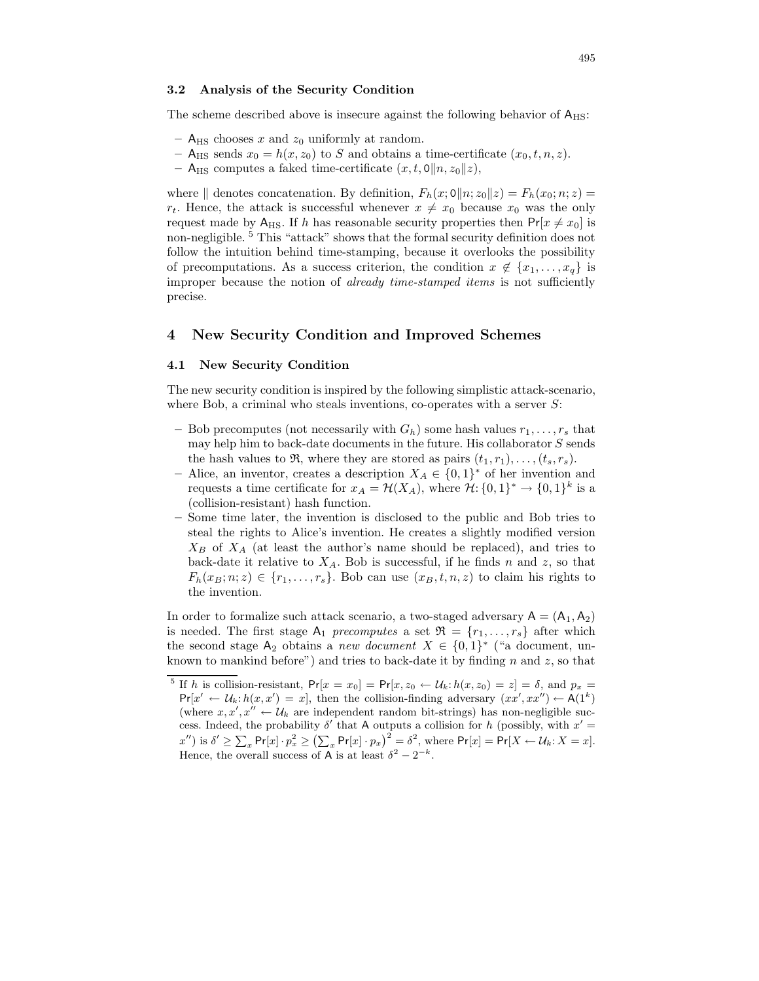#### 3.2 Analysis of the Security Condition

The scheme described above is insecure against the following behavior of  $A_{\text{HS}}$ :

- $A_{\text{HS}}$  chooses x and  $z_0$  uniformly at random.
- A<sub>HS</sub> sends  $x_0 = h(x, z_0)$  to S and obtains a time-certificate  $(x_0, t, n, z)$ .
- A<sub>HS</sub> computes a faked time-certificate  $(x, t, 0||n, z_0||z)$ ,

where  $\parallel$  denotes concatenation. By definition,  $F_h(x; 0||n; z_0||z) = F_h(x_0; n; z) =$  $r_t$ . Hence, the attack is successful whenever  $x \neq x_0$  because  $x_0$  was the only request made by A<sub>HS</sub>. If h has reasonable security properties then  $Pr[x \neq x_0]$  is non-negligible. <sup>5</sup> This "attack" shows that the formal security definition does not follow the intuition behind time-stamping, because it overlooks the possibility of precomputations. As a success criterion, the condition  $x \notin \{x_1, \ldots, x_q\}$  is improper because the notion of *already time-stamped items* is not sufficiently precise.

# 4 New Security Condition and Improved Schemes

### 4.1 New Security Condition

The new security condition is inspired by the following simplistic attack-scenario, where Bob, a criminal who steals inventions, co-operates with a server  $S$ :

- Bob precomputes (not necessarily with  $G_h$ ) some hash values  $r_1, \ldots, r_s$  that may help him to back-date documents in the future. His collaborator  $S$  sends the hash values to  $\mathfrak{R}$ , where they are stored as pairs  $(t_1, r_1), \ldots, (t_s, r_s)$ .
- − Alice, an inventor, creates a description  $X_A \in \{0,1\}^*$  of her invention and requests a time certificate for  $x_A = \mathcal{H}(X_A)$ , where  $\mathcal{H}: \{0,1\}^* \to \{0,1\}^k$  is a (collision-resistant) hash function.
- Some time later, the invention is disclosed to the public and Bob tries to steal the rights to Alice's invention. He creates a slightly modified version  $X_B$  of  $X_A$  (at least the author's name should be replaced), and tries to back-date it relative to  $X_A$ . Bob is successful, if he finds n and z, so that  $F_h(x_B; n; z) \in \{r_1, \ldots, r_s\}$ . Bob can use  $(x_B, t, n, z)$  to claim his rights to the invention.

In order to formalize such attack scenario, a two-staged adversary  $A = (A_1, A_2)$ is needed. The first stage  $A_1$  precomputes a set  $\mathfrak{R} = \{r_1, \ldots, r_s\}$  after which the second stage  $A_2$  obtains a new document  $X \in \{0,1\}^*$  ("a document, unknown to mankind before") and tries to back-date it by finding  $n$  and  $z$ , so that

<sup>&</sup>lt;sup>5</sup> If h is collision-resistant,  $Pr[x = x_0] = Pr[x, z_0 \leftarrow \mathcal{U}_k: h(x, z_0) = z] = \delta$ , and  $p_x =$  $Pr[x' \leftarrow \mathcal{U}_k : h(x, x') = x]$ , then the collision-finding adversary  $(xx', xx'') \leftarrow A(1^k)$ (where  $x, x', x'' \leftarrow \mathcal{U}_k$  are independent random bit-strings) has non-negligible success. Indeed, the probability  $\delta'$  that A outputs a collision for h (possibly, with  $x' =$  $x''$ ) is  $\delta' \geq \sum_x \Pr[x] \cdot p_x^2 \geq (\sum_x \Pr[x] \cdot p_x)^2 = \delta^2$ , where  $\Pr[x] = \Pr[X \leftarrow \mathcal{U}_k \cdot X = x].$ Hence, the overall success of A is at least  $\delta^2 - 2^{-k}$ .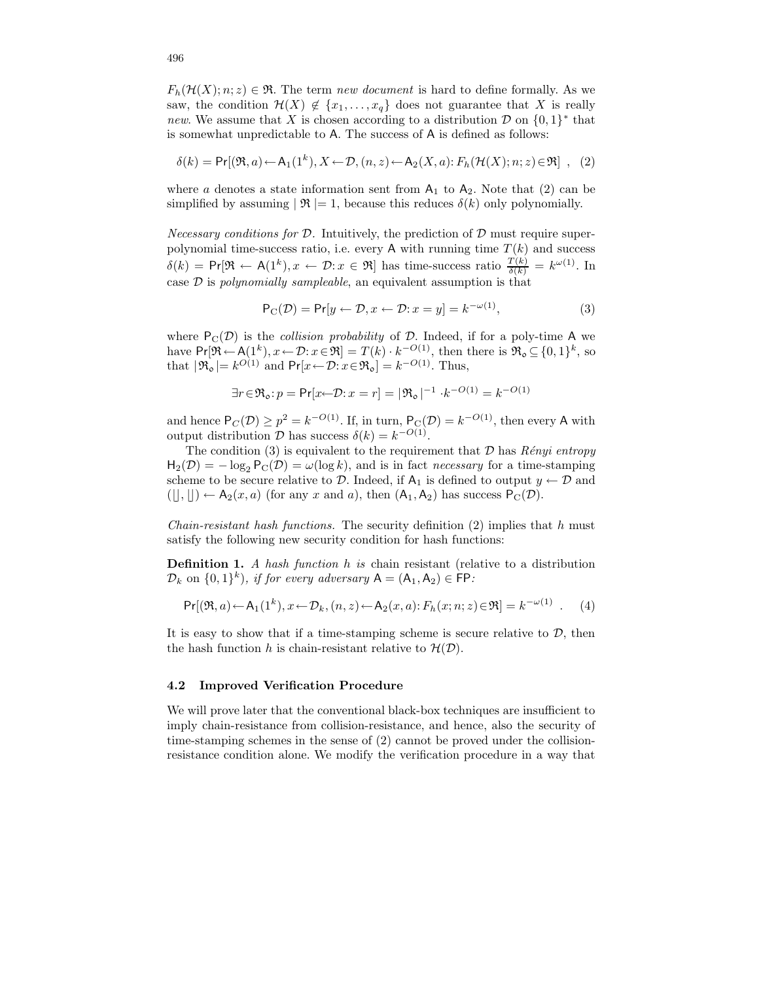$F_h(\mathcal{H}(X); n; z) \in \mathfrak{R}$ . The term new document is hard to define formally. As we saw, the condition  $\mathcal{H}(X) \notin \{x_1, \ldots, x_q\}$  does not guarantee that X is really new. We assume that X is chosen according to a distribution  $\mathcal{D}$  on  $\{0,1\}^*$  that is somewhat unpredictable to A. The success of A is defined as follows:

$$
\delta(k) = \Pr[(\mathfrak{R}, a) \leftarrow A_1(1^k), X \leftarrow \mathcal{D}, (n, z) \leftarrow A_2(X, a) : F_h(\mathcal{H}(X); n; z) \in \mathfrak{R}] , (2)
$$

where a denotes a state information sent from  $A_1$  to  $A_2$ . Note that (2) can be simplified by assuming  $|\mathcal{R}| = 1$ , because this reduces  $\delta(k)$  only polynomially.

*Necessary conditions for D.* Intuitively, the prediction of D must require superpolynomial time-success ratio, i.e. every A with running time  $T(k)$  and success  $\delta(k) = \Pr[\mathfrak{R} \leftarrow A(1^k), x \leftarrow \mathcal{D}: x \in \mathfrak{R}]$  has time-success ratio  $\frac{T(k)}{\delta(k)} = k^{\omega(1)}$ . In case  $\mathcal D$  is *polynomially sampleable*, an equivalent assumption is that

$$
P_C(\mathcal{D}) = Pr[y \leftarrow \mathcal{D}, x \leftarrow \mathcal{D}: x = y] = k^{-\omega(1)},
$$
\n(3)

where  $P_C(\mathcal{D})$  is the *collision probability* of  $\mathcal{D}$ . Indeed, if for a poly-time A we have  $Pr[\mathfrak{R} \leftarrow A(1^k), x \leftarrow \mathcal{D}: x \in \mathfrak{R}] = T(k) \cdot k^{-O(1)}$ , then there is  $\mathfrak{R}_o \subseteq \{0,1\}^k$ , so that  $|\mathfrak{R}_{o}| = k^{O(1)}$  and  $Pr[x \leftarrow \mathcal{D}: x \in \mathfrak{R}_{o}] = k^{-O(1)}$ . Thus,

$$
\exists r \in \mathfrak{R}_{\mathfrak{0}} \colon p = \Pr[x \leftarrow \mathcal{D} \colon x = r] = |\mathfrak{R}_{\mathfrak{0}}|^{-1} \cdot k^{-O(1)} = k^{-O(1)}
$$

and hence  $P_C(\mathcal{D}) \ge p^2 = k^{-O(1)}$ . If, in turn,  $P_C(\mathcal{D}) = k^{-O(1)}$ , then every A with output distribution  $D$  has success  $\delta(k) = k^{-O(1)}$ .

The condition (3) is equivalent to the requirement that  $D$  has *Rényi entropy*  $H_2(\mathcal{D}) = -\log_2 P_C(\mathcal{D}) = \omega(\log k)$ , and is in fact *necessary* for a time-stamping scheme to be secure relative to  $D$ . Indeed, if  $A_1$  is defined to output  $y \leftarrow D$  and  $([t], [t]) \leftarrow A_2(x, a)$  (for any x and a), then  $(A_1, A_2)$  has success  $P_C(\mathcal{D})$ .

*Chain-resistant hash functions.* The security definition  $(2)$  implies that h must satisfy the following new security condition for hash functions:

**Definition 1.** A hash function  $h$  is chain resistant (relative to a distribution  $\mathcal{D}_k$  on  $\{0,1\}^k$ ), if for every adversary  $A = (A_1, A_2) \in \mathsf{FP}$ :

$$
\Pr[(\mathfrak{R},a) \leftarrow A_1(1^k), x \leftarrow \mathcal{D}_k, (n,z) \leftarrow A_2(x,a); F_h(x;n;z) \in \mathfrak{R}] = k^{-\omega(1)} \quad (4)
$$

It is easy to show that if a time-stamping scheme is secure relative to  $D$ , then the hash function h is chain-resistant relative to  $\mathcal{H}(\mathcal{D})$ .

#### 4.2 Improved Verification Procedure

We will prove later that the conventional black-box techniques are insufficient to imply chain-resistance from collision-resistance, and hence, also the security of time-stamping schemes in the sense of (2) cannot be proved under the collisionresistance condition alone. We modify the verification procedure in a way that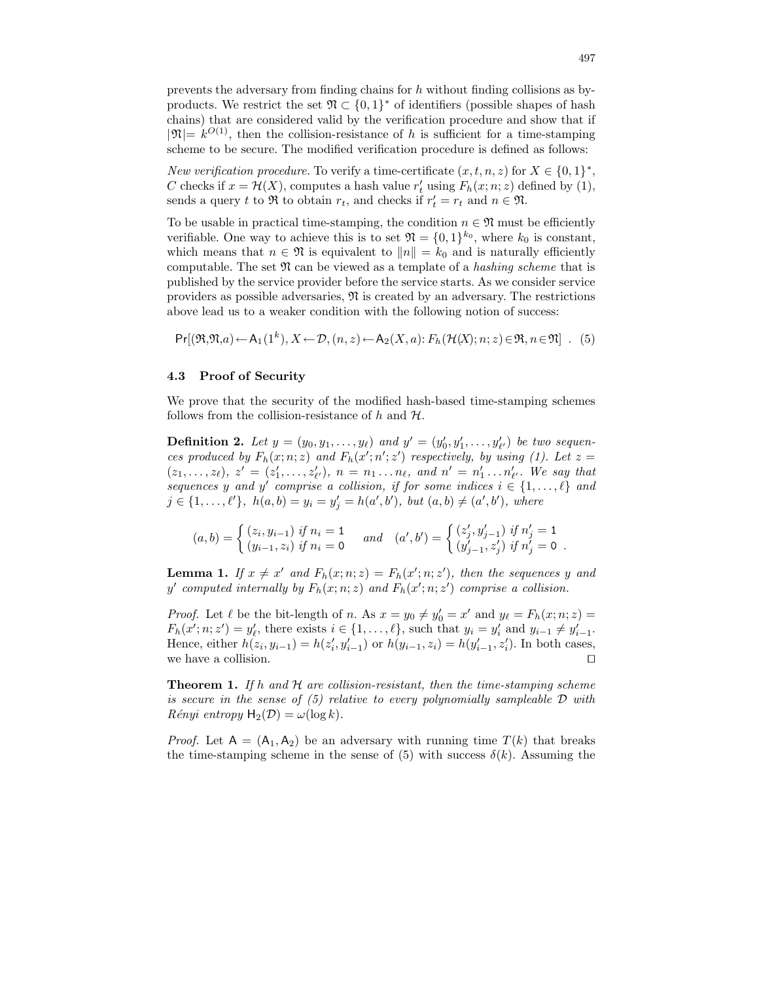prevents the adversary from finding chains for h without finding collisions as byproducts. We restrict the set  $\mathfrak{N} \subset \{0,1\}^*$  of identifiers (possible shapes of hash chains) that are considered valid by the verification procedure and show that if  $|\mathfrak{N}| = k^{O(1)}$ , then the collision-resistance of h is sufficient for a time-stamping scheme to be secure. The modified verification procedure is defined as follows:

New verification procedure. To verify a time-certificate  $(x, t, n, z)$  for  $X \in \{0, 1\}^*$ , C checks if  $x = \mathcal{H}(X)$ , computes a hash value  $r'_t$  using  $F_h(x; n; z)$  defined by (1), sends a query t to  $\Re$  to obtain  $r_t$ , and checks if  $r'_t = r_t$  and  $n \in \Re$ .

To be usable in practical time-stamping, the condition  $n \in \mathfrak{N}$  must be efficiently verifiable. One way to achieve this is to set  $\mathfrak{N} = \{0,1\}^{k_0}$ , where  $k_0$  is constant, which means that  $n \in \mathfrak{N}$  is equivalent to  $||n|| = k_0$  and is naturally efficiently computable. The set  $\mathfrak{N}$  can be viewed as a template of a *hashing scheme* that is published by the service provider before the service starts. As we consider service providers as possible adversaries,  $\mathfrak{N}$  is created by an adversary. The restrictions above lead us to a weaker condition with the following notion of success:

$$
\Pr[(\mathfrak{R}, \mathfrak{N}, a) \leftarrow A_1(1^k), X \leftarrow \mathcal{D}, (n, z) \leftarrow A_2(X, a) : F_h(\mathcal{H}(X); n; z) \in \mathfrak{R}, n \in \mathfrak{N}] \quad (5)
$$

#### 4.3 Proof of Security

We prove that the security of the modified hash-based time-stamping schemes follows from the collision-resistance of  $h$  and  $H$ .

**Definition 2.** Let  $y = (y_0, y_1, \ldots, y_\ell)$  and  $y' = (y'_0, y'_1, \ldots, y'_{\ell'})$  be two sequences produced by  $F_h(x; n; z)$  and  $F_h(x'; n'; z')$  respectively, by using (1). Let  $z =$  $(z_1, \ldots, z_\ell), z' = (z'_1, \ldots, z'_{\ell'}), n = n_1 \ldots n_\ell, \text{ and } n' = n'_1 \ldots n'_{\ell'}.$  We say that sequences y and y' comprise a collision, if for some indices  $i \in \{1, \ldots, \ell\}$  and  $j \in \{1, ..., \ell'\}, h(a, b) = y_i = y'_j = h(a', b'), but (a, b) \neq (a', b'), where$ 

$$
(a,b) = \begin{cases} (z_i, y_{i-1}) \text{ if } n_i = 1 \\ (y_{i-1}, z_i) \text{ if } n_i = 0 \end{cases} \text{ and } (a',b') = \begin{cases} (z'_j, y'_{j-1}) \text{ if } n'_j = 1 \\ (y'_{j-1}, z'_j) \text{ if } n'_j = 0 \end{cases}.
$$

**Lemma 1.** If  $x \neq x'$  and  $F_h(x; n; z) = F_h(x'; n; z')$ , then the sequences y and y' computed internally by  $F_h(x; n; z)$  and  $F_h(x'; n; z')$  comprise a collision.

*Proof.* Let  $\ell$  be the bit-length of n. As  $x = y_0 \neq y'_0 = x'$  and  $y_\ell = F_h(x; n; z) =$  $F_h(x';n;z') = y'_{\ell}$ , there exists  $i \in \{1,\ldots,\ell\}$ , such that  $y_i = y'_i$  and  $y_{i-1} \neq y'_{i-1}$ . Hence, either  $h(z_i, y_{i-1}) = h(z'_i, y'_{i-1})$  or  $h(y_{i-1}, z_i) = h(y'_{i-1}, z'_i)$ . In both cases, we have a collision.  $\Box$ 

**Theorem 1.** If h and  $H$  are collision-resistant, then the time-stamping scheme is secure in the sense of  $(5)$  relative to every polynomially sampleable  $\mathcal D$  with  $R\acute{e}nyi$  entropy  $H_2(\mathcal{D}) = \omega(\log k)$ .

*Proof.* Let  $A = (A_1, A_2)$  be an adversary with running time  $T(k)$  that breaks the time-stamping scheme in the sense of (5) with success  $\delta(k)$ . Assuming the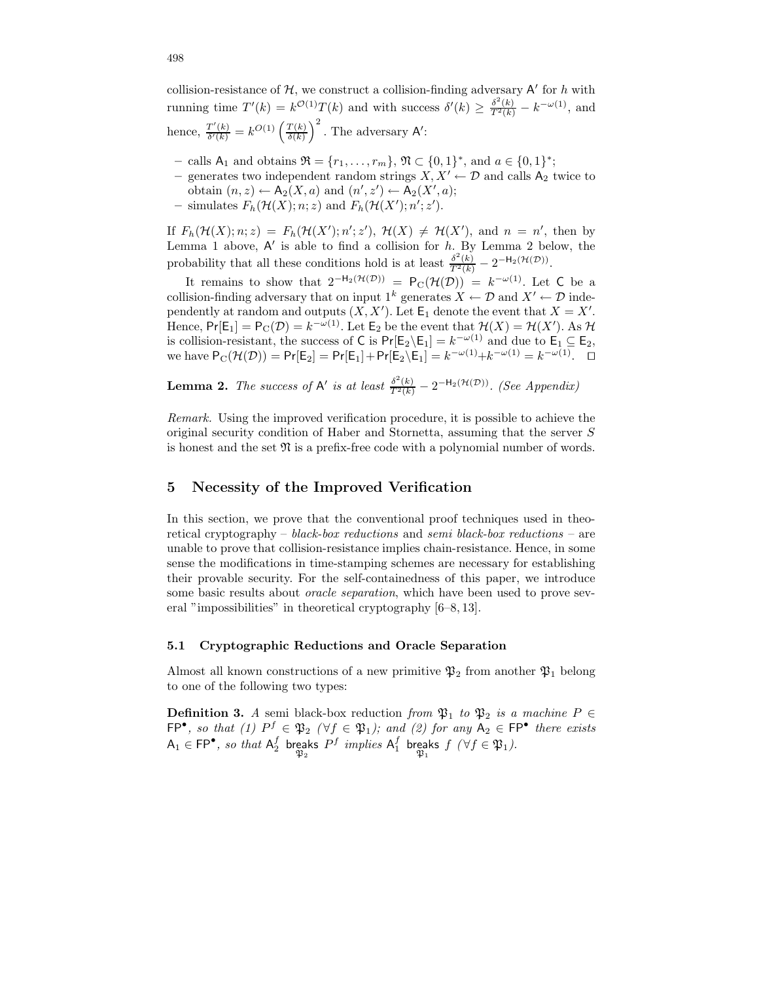collision-resistance of  $H$ , we construct a collision-finding adversary  $A'$  for h with running time  $T'(k) = k^{\mathcal{O}(1)}T(k)$  and with success  $\delta'(k) \geq \frac{\delta^2(k)}{T^2(k)} - k^{-\omega(1)}$ , and hence,  $\frac{T'(k)}{\delta'(k)}$  $\frac{T'(k)}{\delta'(k)} = k^{O(1)} \left( \frac{T(k)}{\delta(k)} \right)$  $\left(\frac{T(k)}{\delta(k)}\right)^2$ . The adversary A':

- − calls A<sub>1</sub> and obtains  $\mathfrak{R} = \{r_1, ..., r_m\}$ ,  $\mathfrak{N} \subset \{0, 1\}^*$ , and  $a \in \{0, 1\}^*$ ;
- generates two independent random strings  $X, X' \leftarrow \mathcal{D}$  and calls  $A_2$  twice to obtain  $(n, z) \leftarrow A_2(X, a)$  and  $(n', z') \leftarrow A_2(X', a);$
- simulates  $F_h(\mathcal{H}(X); n; z)$  and  $F_h(\mathcal{H}(X'); n'; z').$

If  $F_h(\mathcal{H}(X); n; z) = F_h(\mathcal{H}(X'); n'; z'), \mathcal{H}(X) \neq \mathcal{H}(X'), \text{ and } n = n'$ , then by Lemma 1 above,  $A'$  is able to find a collision for  $h$ . By Lemma 2 below, the probability that all these conditions hold is at least  $\frac{\delta^2(k)}{T^2(k)} - 2^{-H_2(\mathcal{H}(\mathcal{D}))}$ .

It remains to show that  $2^{-H_2(\mathcal{H}(\mathcal{D}))} = P_{\mathcal{C}}(\mathcal{H}(\mathcal{D})) = k^{-\omega(1)}$ . Let C be a collision-finding adversary that on input  $1^k$  generates  $X \leftarrow \mathcal{D}$  and  $X' \leftarrow \mathcal{D}$  independently at random and outputs  $(X, X')$ . Let  $\mathsf{E}_1$  denote the event that  $X = X'$ . Hence,  $Pr[E_1] = P_C(\mathcal{D}) = k^{-\omega(1)}$ . Let  $E_2$  be the event that  $\mathcal{H}(X) = \mathcal{H}(X')$ . As  $\mathcal{H}$ is collision-resistant, the success of C is  $Pr[E_2 \setminus E_1] = k^{-\omega(1)}$  and due to  $E_1 \subseteq E_2$ , we have  $P_C(\mathcal{H}(\mathcal{D})) = Pr[E_2] = Pr[E_1] + Pr[E_2 \setminus E_1] = k^{-\omega(1)} + k^{-\omega(1)} = k^{-\omega(1)}$ .  $\Box$ 

**Lemma 2.** The success of  $A'$  is at least  $\frac{\delta^2(k)}{T^2(k)} - 2^{-H_2(\mathcal{H}(\mathcal{D}))}$ . (See Appendix)

Remark. Using the improved verification procedure, it is possible to achieve the original security condition of Haber and Stornetta, assuming that the server S is honest and the set  $\mathfrak N$  is a prefix-free code with a polynomial number of words.

# 5 Necessity of the Improved Verification

In this section, we prove that the conventional proof techniques used in theoretical cryptography – black-box reductions and semi black-box reductions – are unable to prove that collision-resistance implies chain-resistance. Hence, in some sense the modifications in time-stamping schemes are necessary for establishing their provable security. For the self-containedness of this paper, we introduce some basic results about *oracle separation*, which have been used to prove several "impossibilities" in theoretical cryptography [6–8, 13].

#### 5.1 Cryptographic Reductions and Oracle Separation

Almost all known constructions of a new primitive  $\mathfrak{P}_2$  from another  $\mathfrak{P}_1$  belong to one of the following two types:

**Definition 3.** A semi black-box reduction from  $\mathfrak{P}_1$  to  $\mathfrak{P}_2$  is a machine  $P \in$  $\mathsf{FP}^{\bullet}$ , so that (1)  $P^f \in \mathfrak{P}_2$  ( $\forall f \in \mathfrak{P}_1$ ); and (2) for any  $A_2 \in \mathsf{FP}^{\bullet}$  there exists  $A_1 \in \mathsf{FP}^\bullet$ , so that  $A_2^f$  breaks eaks  $P^f$  implies  $\mathsf{A}_1^f$  breaks<br> $\mathfrak{P}_2$ eaks  $f$   $(\forall f \in \mathfrak{P}_1).$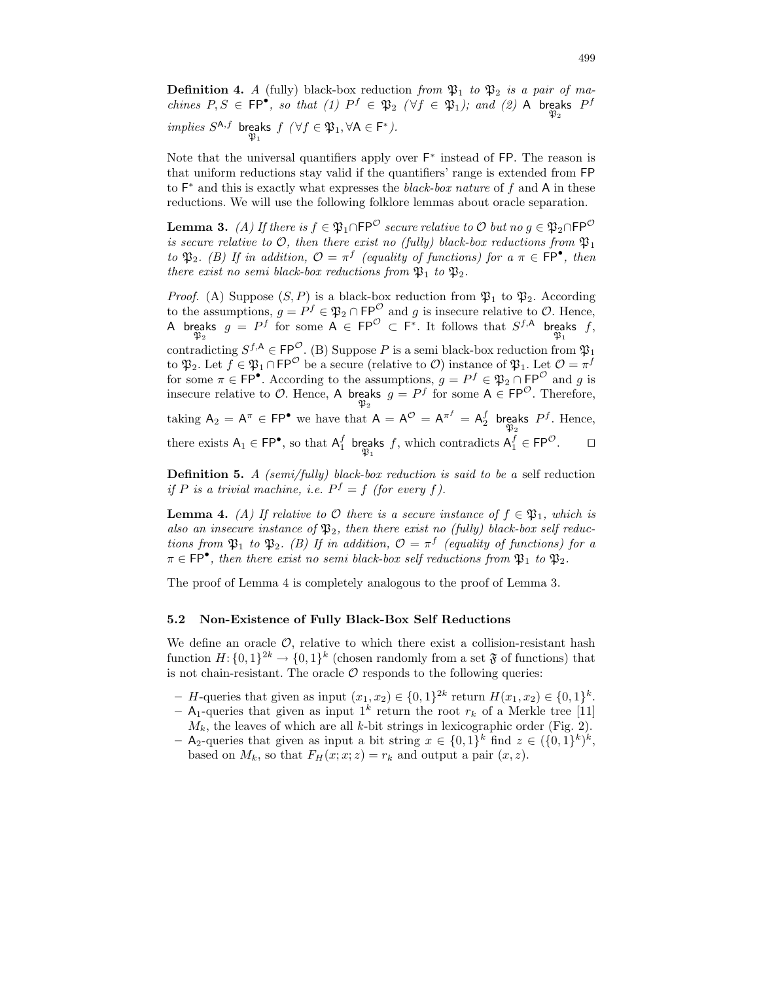**Definition 4.** A (fully) black-box reduction from  $\mathfrak{P}_1$  to  $\mathfrak{P}_2$  is a pair of machines  $P, S \in \text{FP}^{\bullet}$ , so that (1)  $P^f \in \mathfrak{P}_2$  ( $\forall f \in \mathfrak{P}_1$ ); and (2) A breaks  $P^f$  $implies S^{A,f}$  breaks eaks  $f(\forall f \in \mathfrak{P}_1, \forall A \in F^*).$ 

Note that the universal quantifiers apply over  $F^*$  instead of FP. The reason is that uniform reductions stay valid if the quantifiers' range is extended from FP to  $F^*$  and this is exactly what expresses the *black-box nature* of f and A in these reductions. We will use the following folklore lemmas about oracle separation.

**Lemma 3.** (A) If there is  $f \in \mathfrak{P}_1 \cap \mathsf{FP}^{\mathcal{O}}$  secure relative to  $\mathcal{O}$  but no  $g \in \mathfrak{P}_2 \cap \mathsf{FP}^{\mathcal{O}}$ is secure relative to  $\mathcal{O}$ , then there exist no (fully) black-box reductions from  $\mathfrak{P}_1$ to  $\mathfrak{P}_2$ . (B) If in addition,  $\mathcal{O} = \pi^f$  (equality of functions) for  $a \pi \in \mathsf{FP}^{\bullet}$ , then there exist no semi black-box reductions from  $\mathfrak{P}_1$  to  $\mathfrak{P}_2$ .

*Proof.* (A) Suppose  $(S, P)$  is a black-box reduction from  $\mathfrak{P}_1$  to  $\mathfrak{P}_2$ . According to the assumptions,  $g = P^f \in \mathfrak{P}_2 \cap \mathsf{FP}^\mathcal{O}$  and g is insecure relative to  $\mathcal{O}$ . Hence, A breaks eaks  $g = P^f$  for some  $A \in \mathsf{FP}^{\mathcal{O}} \subset \mathsf{F}^*$ . It follows that  $S^{f,A}$  breaks  $\mathfrak{P}_1$ eaks  $f,$ 

contradicting  $S^{f,\mathsf{A}} \in \mathsf{FP}^{\mathcal{O}}$ . (B) Suppose P is a semi black-box reduction from  $\mathfrak{P}_1$ to  $\mathfrak{P}_2$ . Let  $f \in \mathfrak{P}_1 \cap \mathsf{FP}^\mathcal{O}$  be a secure (relative to  $\mathcal{O})$  instance of  $\mathfrak{P}_1$ . Let  $\mathcal{O} = \pi^f$ for some  $\pi \in \mathsf{FP}^{\bullet}$ . According to the assumptions,  $g = P^f \in \mathfrak{P}_2 \cap \mathsf{FP}^{\mathcal{O}}$  and g is insecure relative to  $\mathcal{O}$ . Hence, A breaks  $g = P^f$  for some  $A \in \mathsf{FP}^{\mathcal{O}}$ . Therefore,

taking  $A_2 = A^{\pi} \in \mathsf{FP}^{\bullet}$  we have that  $A = A^{\mathcal{O}} = A^{\pi^f} = A_2^f$  breaks eaks  $P^f$ . Hence,  $\mathfrak{P}_2$ there exists  $A_1 \in \mathsf{FP}^\bullet$ , so that  $A_1^f$  breaks eaks f, which contradicts  $A_1^f \in \mathsf{FP}^{\mathcal{O}}$ .  $\square$ 

**Definition 5.** A (semi/fully) black-box reduction is said to be a self reduction if P is a trivial machine, i.e.  $P^f = f$  (for every f).

**Lemma 4.** (A) If relative to  $\mathcal O$  there is a secure instance of  $f \in \mathfrak{P}_1$ , which is also an insecure instance of  $\mathfrak{P}_2$ , then there exist no (fully) black-box self reductions from  $\mathfrak{P}_1$  to  $\mathfrak{P}_2$ . (B) If in addition,  $\mathcal{O} = \pi^f$  (equality of functions) for a  $\pi \in \text{FP}^{\bullet}$ , then there exist no semi black-box self reductions from  $\mathfrak{P}_1$  to  $\mathfrak{P}_2$ .

The proof of Lemma 4 is completely analogous to the proof of Lemma 3.

#### 5.2 Non-Existence of Fully Black-Box Self Reductions

We define an oracle  $\mathcal{O}$ , relative to which there exist a collision-resistant hash function  $H: \{0,1\}^{2k} \to \{0,1\}^k$  (chosen randomly from a set  $\mathfrak F$  of functions) that is not chain-resistant. The oracle  $\mathcal O$  responds to the following queries:

- *H*-queries that given as input  $(x_1, x_2) \in \{0, 1\}^{2k}$  return  $H(x_1, x_2) \in \{0, 1\}^k$ .
- A<sub>1</sub>-queries that given as input  $1^k$  return the root  $r_k$  of a Merkle tree [11]  $M_k$ , the leaves of which are all k-bit strings in lexicographic order (Fig. 2).
- A<sub>2</sub>-queries that given as input a bit string  $x \in \{0,1\}^k$  find  $z \in (\{0,1\}^k)^k$ , based on  $M_k$ , so that  $F_H(x; x; z) = r_k$  and output a pair  $(x, z)$ .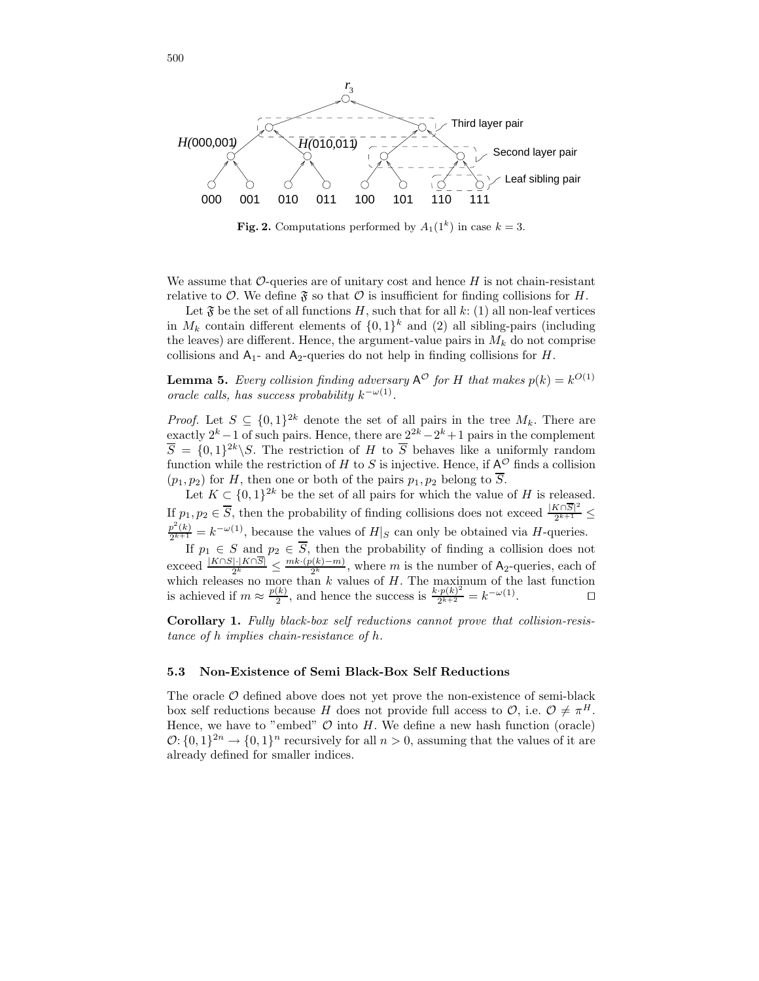

**Fig. 2.** Computations performed by  $A_1(1^k)$  in case  $k = 3$ .

We assume that  $\mathcal{O}$ -queries are of unitary cost and hence H is not chain-resistant relative to  $\mathcal O$ . We define  $\mathfrak F$  so that  $\mathcal O$  is insufficient for finding collisions for H.

Let  $\mathfrak{F}$  be the set of all functions H, such that for all k: (1) all non-leaf vertices in  $M_k$  contain different elements of  $\{0,1\}^k$  and  $(2)$  all sibling-pairs (including the leaves) are different. Hence, the argument-value pairs in  $M_k$  do not comprise collisions and  $A_1$ - and  $A_2$ -queries do not help in finding collisions for H.

**Lemma 5.** Every collision finding adversary  $A^{\mathcal{O}}$  for H that makes  $p(k) = k^{O(1)}$ oracle calls, has success probability  $k^{-\omega(1)}$ .

*Proof.* Let  $S \subseteq \{0,1\}^{2k}$  denote the set of all pairs in the tree  $M_k$ . There are exactly  $2^k - 1$  of such pairs. Hence, there are  $2^{2k} - 2^k + 1$  pairs in the complement  $\overline{S} = \{0,1\}^{2k} \backslash S$ . The restriction of H to  $\overline{S}$  behaves like a uniformly random function while the restriction of H to S is injective. Hence, if  $A^{\mathcal{O}}$  finds a collision  $(p_1, p_2)$  for H, then one or both of the pairs  $p_1, p_2$  belong to  $\overline{S}$ .

Let  $K \subset \{0,1\}^{2k}$  be the set of all pairs for which the value of H is released. If  $p_1, p_2 \in \overline{S}$ , then the probability of finding collisions does not exceed  $\frac{|K \cap \overline{S}|^2}{2^{k+1}}$  $\frac{2^{k+1}}{2^{k+1}} \leq$  $p^2(k)$  $\frac{p^2(k)}{2^{k+1}} = k^{-\omega(1)}$ , because the values of  $H|_S$  can only be obtained via H-queries.

If  $p_1 \in S$  and  $p_2 \in S$ , then the probability of finding a collision does not exceed  $\frac{|K \cap S| \cdot |K \cap S|}{2^k} \leq \frac{mk \cdot (p(k)-m)}{2^k}$  $\frac{2(k)-m}{2^k}$ , where m is the number of A<sub>2</sub>-queries, each of which releases no more than k values of H. The maximum of the last function is achieved if  $m \approx \frac{p(k)}{2}$  $\frac{(k)}{2}$ , and hence the success is  $\frac{k \cdot p(k)^2}{2^{k+2}} = k^{-\omega(1)}$  $\Box$ 

Corollary 1. Fully black-box self reductions cannot prove that collision-resistance of h implies chain-resistance of h.

### 5.3 Non-Existence of Semi Black-Box Self Reductions

The oracle  $\mathcal O$  defined above does not yet prove the non-existence of semi-black box self reductions because H does not provide full access to  $\mathcal{O}$ , i.e.  $\mathcal{O} \neq \pi^H$ . Hence, we have to "embed"  $\mathcal O$  into H. We define a new hash function (oracle)  $\mathcal{O}: \{0,1\}^{2n} \to \{0,1\}^n$  recursively for all  $n > 0$ , assuming that the values of it are already defined for smaller indices.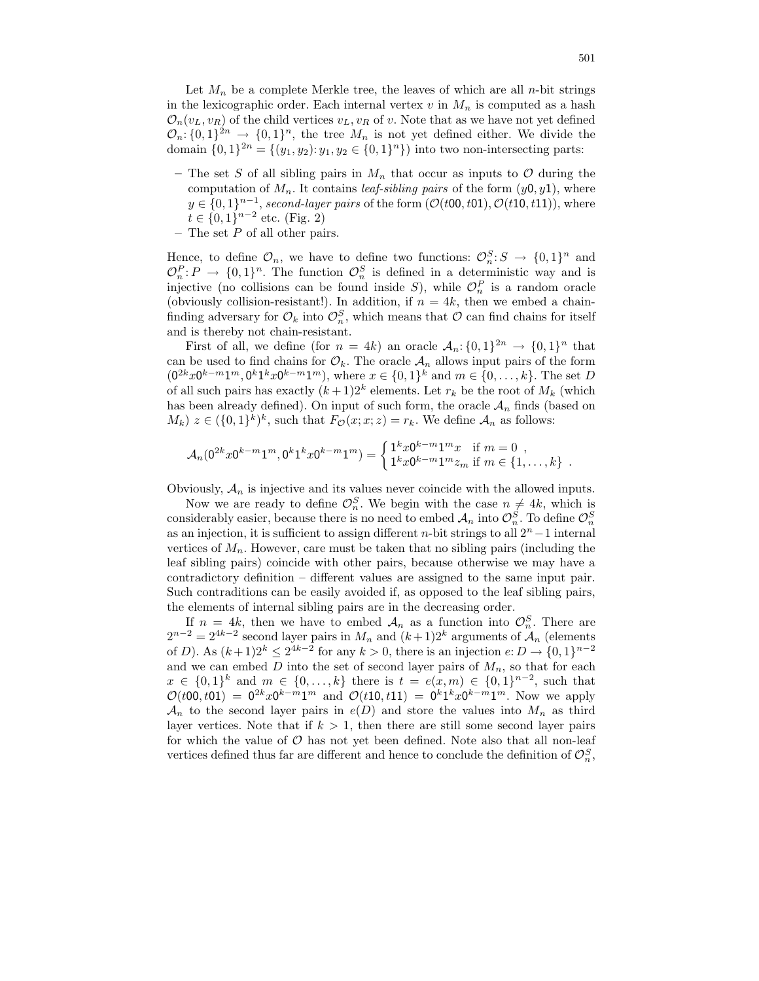Let  $M_n$  be a complete Merkle tree, the leaves of which are all n-bit strings in the lexicographic order. Each internal vertex  $v$  in  $M_n$  is computed as a hash  $\mathcal{O}_n(v_L, v_R)$  of the child vertices  $v_L, v_R$  of v. Note that as we have not yet defined  $\mathcal{O}_n: \{0,1\}^{2n} \to \{0,1\}^n$ , the tree  $M_n$  is not yet defined either. We divide the domain  $\{0,1\}^{2n} = \{(y_1, y_2): y_1, y_2 \in \{0,1\}^n\}$  into two non-intersecting parts:

- The set S of all sibling pairs in  $M_n$  that occur as inputs to O during the computation of  $M_n$ . It contains *leaf-sibling pairs* of the form  $(y0, y1)$ , where  $y \in \{0,1\}^{n-1}$ , second-layer pairs of the form  $(\mathcal{O}(t00,t01), \mathcal{O}(t10,t11))$ , where  $t \in \{0, 1\}^{n-2}$  etc. (Fig. 2)
- The set  $P$  of all other pairs.

Hence, to define  $\mathcal{O}_n$ , we have to define two functions:  $\mathcal{O}_n^S: S \to \{0,1\}^n$  and  $\mathcal{O}_n^P: P \to \{0,1\}^n$ . The function  $\mathcal{O}_n^S$  is defined in a deterministic way and is injective (no collisions can be found inside S), while  $\mathcal{O}_n^P$  is a random oracle (obviously collision-resistant!). In addition, if  $n = 4k$ , then we embed a chainfinding adversary for  $\mathcal{O}_k$  into  $\mathcal{O}_n^S$ , which means that  $\mathcal O$  can find chains for itself and is thereby not chain-resistant.

First of all, we define (for  $n = 4k$ ) an oracle  $\mathcal{A}_n: \{0,1\}^{2n} \to \{0,1\}^n$  that can be used to find chains for  $\mathcal{O}_k$ . The oracle  $\mathcal{A}_n$  allows input pairs of the form  $(0^{2k}x0^{k-m}1^m, 0^k1^kx0^{k-m}1^m)$ , where  $x \in \{0,1\}^k$  and  $m \in \{0,\ldots,k\}$ . The set D of all such pairs has exactly  $(k+1)2^k$  elements. Let  $r_k$  be the root of  $M_k$  (which has been already defined). On input of such form, the oracle  $A_n$  finds (based on  $(M_k)$   $z \in (\{0,1\}^k)^k$ , such that  $F_{\mathcal{O}}(x;x;z) = r_k$ . We define  $\mathcal{A}_n$  as follows:

$$
\mathcal{A}_n(0^{2k}x0^{k-m}1^m, 0^k1^kx0^{k-m}1^m) = \begin{cases} 1^kx0^{k-m}1^mx & \text{if } m = 0, \\ 1^kx0^{k-m}1^mx_m & \text{if } m \in \{1, \dots, k\} \end{cases}.
$$

Obviously,  $A_n$  is injective and its values never coincide with the allowed inputs.

Now we are ready to define  $\mathcal{O}_n^S$ . We begin with the case  $n \neq 4k$ , which is considerably easier, because there is no need to embed  $\mathcal{A}_n$  into  $\mathcal{O}_n^S$ . To define  $\mathcal{O}_n^S$ as an injection, it is sufficient to assign different *n*-bit strings to all  $2<sup>n</sup> - 1$  internal vertices of  $M_n$ . However, care must be taken that no sibling pairs (including the leaf sibling pairs) coincide with other pairs, because otherwise we may have a contradictory definition – different values are assigned to the same input pair. Such contraditions can be easily avoided if, as opposed to the leaf sibling pairs, the elements of internal sibling pairs are in the decreasing order.

If  $n = 4k$ , then we have to embed  $\mathcal{A}_n$  as a function into  $\mathcal{O}_n^S$ . There are  $2^{n-2} = 2^{4k-2}$  second layer pairs in  $M_n$  and  $(k+1)2^k$  arguments of  $\mathcal{A}_n$  (elements of D). As  $(k+1)2^k \leq 2^{4k-2}$  for any  $k > 0$ , there is an injection  $e: D \to \{0,1\}^{n-2}$ and we can embed  $D$  into the set of second layer pairs of  $M_n$ , so that for each  $x \in \{0,1\}^k$  and  $m \in \{0,\ldots,k\}$  there is  $t = e(x,m) \in \{0,1\}^{n-2}$ , such that  $\mathcal{O}(t00, t01) = 0^{2k}x0^{k-m}1^m$  and  $\mathcal{O}(t10, t11) = 0^{k}1^{k}x0^{k-m}1^m$ . Now we apply  $\mathcal{A}_n$  to the second layer pairs in  $e(D)$  and store the values into  $M_n$  as third layer vertices. Note that if  $k > 1$ , then there are still some second layer pairs for which the value of  $\mathcal O$  has not yet been defined. Note also that all non-leaf vertices defined thus far are different and hence to conclude the definition of  $\mathcal{O}_n^S$ ,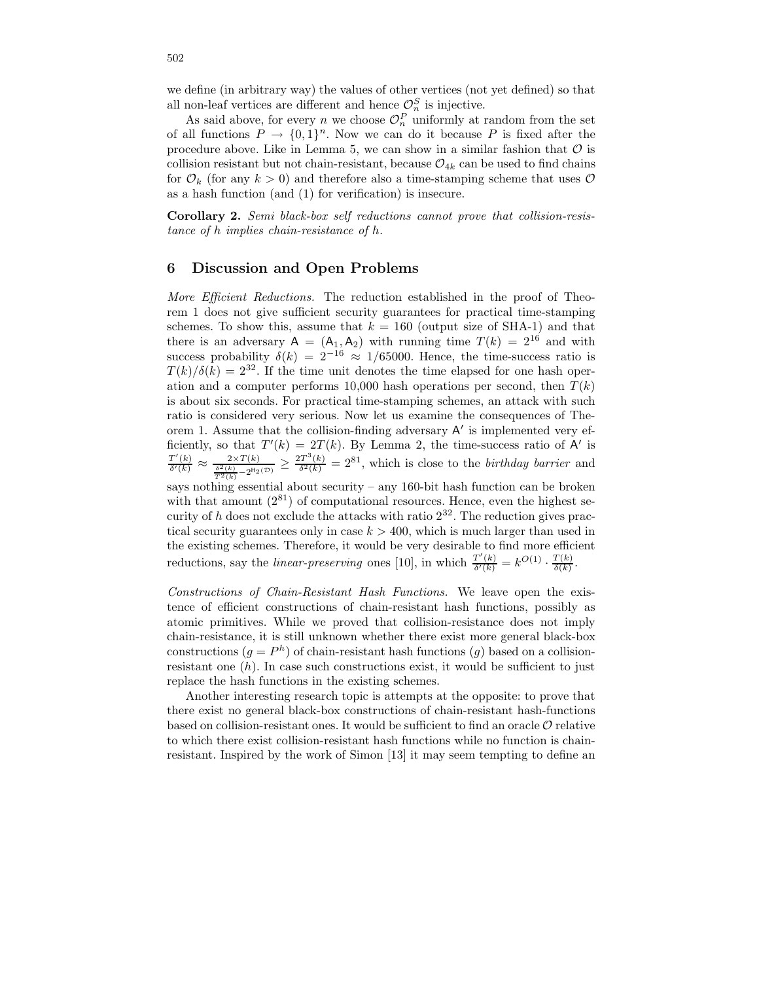we define (in arbitrary way) the values of other vertices (not yet defined) so that all non-leaf vertices are different and hence  $\mathcal{O}_n^S$  is injective.

As said above, for every n we choose  $\mathcal{O}_n^P$  uniformly at random from the set of all functions  $P \to \{0,1\}^n$ . Now we can do it because P is fixed after the procedure above. Like in Lemma 5, we can show in a similar fashion that  $\mathcal O$  is collision resistant but not chain-resistant, because  $\mathcal{O}_{4k}$  can be used to find chains for  $\mathcal{O}_k$  (for any  $k > 0$ ) and therefore also a time-stamping scheme that uses  $\mathcal{O}$ as a hash function (and (1) for verification) is insecure.

Corollary 2. Semi black-box self reductions cannot prove that collision-resistance of h implies chain-resistance of h.

## 6 Discussion and Open Problems

More Efficient Reductions. The reduction established in the proof of Theorem 1 does not give sufficient security guarantees for practical time-stamping schemes. To show this, assume that  $k = 160$  (output size of SHA-1) and that there is an adversary  $A = (A_1, A_2)$  with running time  $T(k) = 2^{16}$  and with success probability  $\delta(k) = 2^{-16} \approx 1/65000$ . Hence, the time-success ratio is  $T(k)/\delta(k) = 2^{32}$ . If the time unit denotes the time elapsed for one hash operation and a computer performs 10,000 hash operations per second, then  $T(k)$ is about six seconds. For practical time-stamping schemes, an attack with such ratio is considered very serious. Now let us examine the consequences of Theorem 1. Assume that the collision-finding adversary  $A'$  is implemented very efficiently, so that  $T'(k) = 2T(k)$ . By Lemma 2, the time-success ratio of A' is  $T'(k)$  $\frac{T'(k)}{\delta'(k)} \approx \frac{2 \times T(k)}{\frac{\delta^2(k)}{T^2(k)} - 2^{\text{H}_2(\mathcal{D})}} \geq \frac{2 T^3(k)}{\delta^2(k)}$  $\frac{\partial T^{\alpha}(k)}{\partial \delta^{2}(k)} = 2^{81}$ , which is close to the *birthday barrier* and

says nothing essential about security – any 160-bit hash function can be broken with that amount  $(2^{81})$  of computational resources. Hence, even the highest security of h does not exclude the attacks with ratio  $2^{32}$ . The reduction gives practical security guarantees only in case  $k > 400$ , which is much larger than used in the existing schemes. Therefore, it would be very desirable to find more efficient reductions, say the *linear-preserving* ones [10], in which  $\frac{T'(k)}{\delta'(k)}$  $\frac{T'(k)}{\delta'(k)} = k^{O(1)} \cdot \frac{T(k)}{\delta(k)}$  $\frac{I(k)}{\delta(k)}$ .

Constructions of Chain-Resistant Hash Functions. We leave open the existence of efficient constructions of chain-resistant hash functions, possibly as atomic primitives. While we proved that collision-resistance does not imply chain-resistance, it is still unknown whether there exist more general black-box constructions  $(g = P^h)$  of chain-resistant hash functions  $(g)$  based on a collisionresistant one  $(h)$ . In case such constructions exist, it would be sufficient to just replace the hash functions in the existing schemes.

Another interesting research topic is attempts at the opposite: to prove that there exist no general black-box constructions of chain-resistant hash-functions based on collision-resistant ones. It would be sufficient to find an oracle  $\mathcal O$  relative to which there exist collision-resistant hash functions while no function is chainresistant. Inspired by the work of Simon [13] it may seem tempting to define an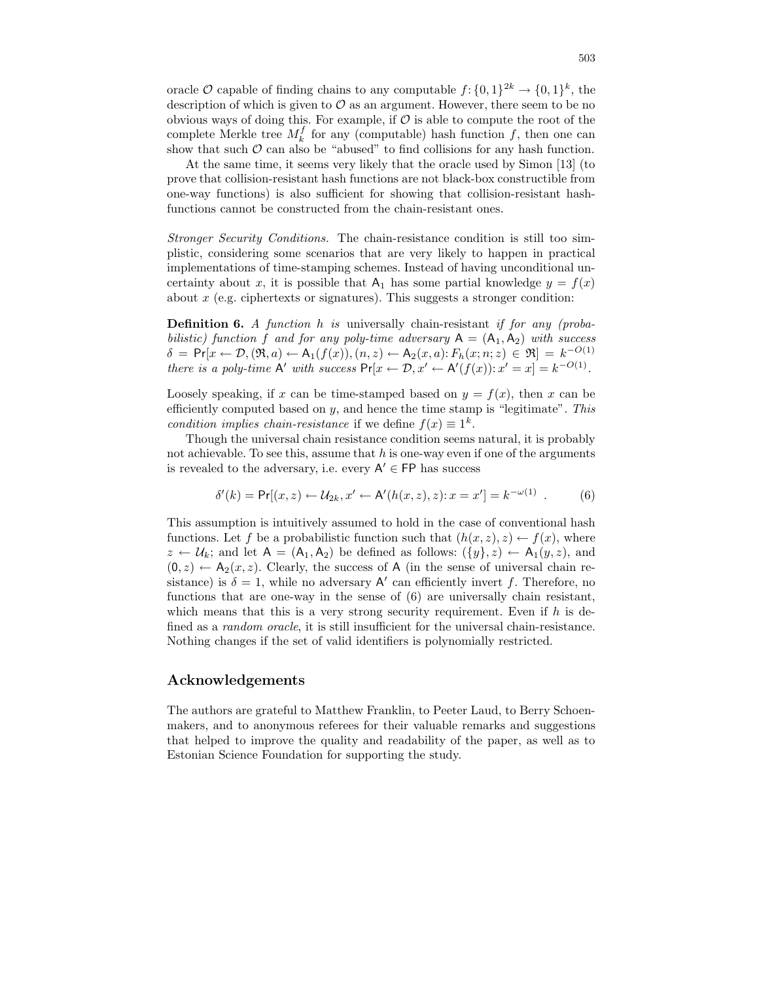oracle  $\mathcal O$  capable of finding chains to any computable  $f: \{0,1\}^{2k} \to \{0,1\}^k$ , the description of which is given to  $\mathcal O$  as an argument. However, there seem to be no obvious ways of doing this. For example, if  $\mathcal O$  is able to compute the root of the complete Merkle tree  $M_k^f$  for any (computable) hash function f, then one can show that such  $\mathcal O$  can also be "abused" to find collisions for any hash function.

At the same time, it seems very likely that the oracle used by Simon [13] (to prove that collision-resistant hash functions are not black-box constructible from one-way functions) is also sufficient for showing that collision-resistant hashfunctions cannot be constructed from the chain-resistant ones.

Stronger Security Conditions. The chain-resistance condition is still too simplistic, considering some scenarios that are very likely to happen in practical implementations of time-stamping schemes. Instead of having unconditional uncertainty about x, it is possible that  $A_1$  has some partial knowledge  $y = f(x)$ about  $x$  (e.g. ciphertexts or signatures). This suggests a stronger condition:

**Definition 6.** A function h is universally chain-resistant if for any (probabilistic) function f and for any poly-time adversary  $A = (A_1, A_2)$  with success  $\delta = \Pr[x \leftarrow \mathcal{D}, (\Re, a) \leftarrow \mathsf{A}_1(f(x)), (n, z) \leftarrow \mathsf{A}_2(x, a): F_h(x; n; z) \in \mathfrak{R}]= k^{-O(1)}$ there is a poly-time A' with success  $Pr[x \leftarrow D, x' \leftarrow A'(f(x)) : x' = x] = k^{-O(1)}$ .

Loosely speaking, if x can be time-stamped based on  $y = f(x)$ , then x can be efficiently computed based on  $y$ , and hence the time stamp is "legitimate". This condition implies chain-resistance if we define  $f(x) \equiv 1^k$ .

Though the universal chain resistance condition seems natural, it is probably not achievable. To see this, assume that  $h$  is one-way even if one of the arguments is revealed to the adversary, i.e. every  $A' \in FP$  has success

$$
\delta'(k) = \Pr[(x, z) \leftarrow \mathcal{U}_{2k}, x' \leftarrow A'(h(x, z), z) : x = x'] = k^{-\omega(1)} \tag{6}
$$

This assumption is intuitively assumed to hold in the case of conventional hash functions. Let f be a probabilistic function such that  $(h(x, z), z) \leftarrow f(x)$ , where  $z \leftarrow \mathcal{U}_k$ ; and let  $A = (A_1, A_2)$  be defined as follows:  $({y}, z) \leftarrow A_1(y, z)$ , and  $(0, z) \leftarrow A_2(x, z)$ . Clearly, the success of A (in the sense of universal chain resistance) is  $\delta = 1$ , while no adversary A' can efficiently invert f. Therefore, no functions that are one-way in the sense of (6) are universally chain resistant, which means that this is a very strong security requirement. Even if  $h$  is defined as a *random oracle*, it is still insufficient for the universal chain-resistance. Nothing changes if the set of valid identifiers is polynomially restricted.

## Acknowledgements

The authors are grateful to Matthew Franklin, to Peeter Laud, to Berry Schoenmakers, and to anonymous referees for their valuable remarks and suggestions that helped to improve the quality and readability of the paper, as well as to Estonian Science Foundation for supporting the study.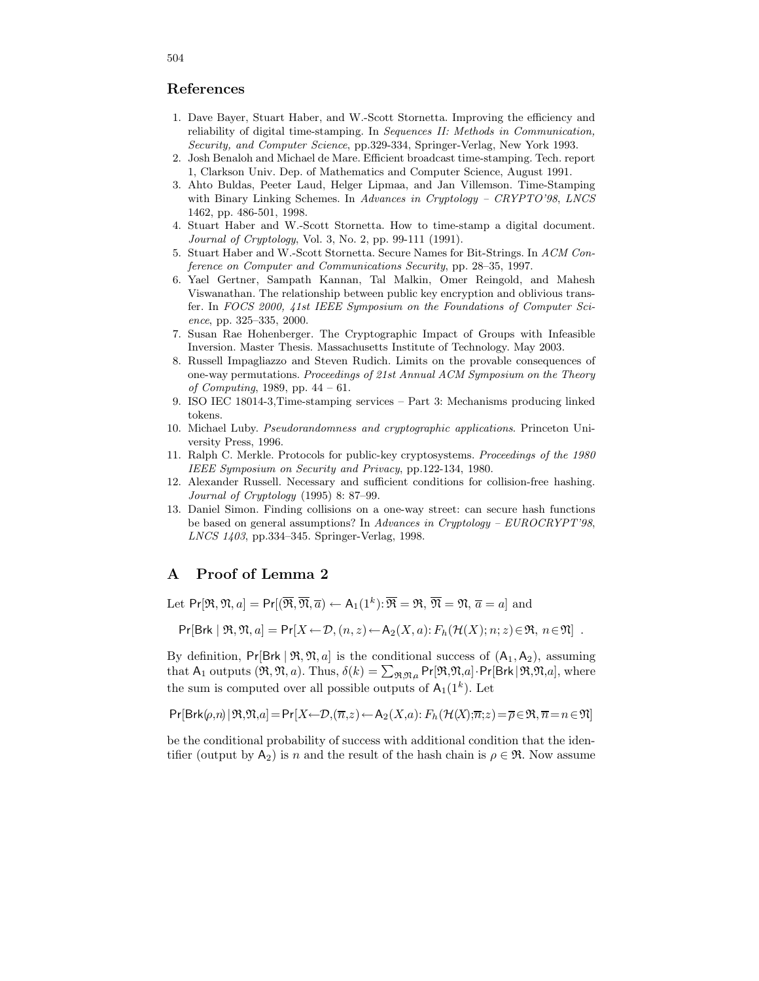# References

- 1. Dave Bayer, Stuart Haber, and W.-Scott Stornetta. Improving the efficiency and reliability of digital time-stamping. In Sequences II: Methods in Communication, Security, and Computer Science, pp.329-334, Springer-Verlag, New York 1993.
- 2. Josh Benaloh and Michael de Mare. Efficient broadcast time-stamping. Tech. report 1, Clarkson Univ. Dep. of Mathematics and Computer Science, August 1991.
- 3. Ahto Buldas, Peeter Laud, Helger Lipmaa, and Jan Villemson. Time-Stamping with Binary Linking Schemes. In Advances in Cryptology - CRYPTO'98, LNCS 1462, pp. 486-501, 1998.
- 4. Stuart Haber and W.-Scott Stornetta. How to time-stamp a digital document. Journal of Cryptology, Vol. 3, No. 2, pp. 99-111 (1991).
- 5. Stuart Haber and W.-Scott Stornetta. Secure Names for Bit-Strings. In ACM Conference on Computer and Communications Security, pp. 28–35, 1997.
- 6. Yael Gertner, Sampath Kannan, Tal Malkin, Omer Reingold, and Mahesh Viswanathan. The relationship between public key encryption and oblivious transfer. In FOCS 2000, 41st IEEE Symposium on the Foundations of Computer Science, pp. 325–335, 2000.
- 7. Susan Rae Hohenberger. The Cryptographic Impact of Groups with Infeasible Inversion. Master Thesis. Massachusetts Institute of Technology. May 2003.
- 8. Russell Impagliazzo and Steven Rudich. Limits on the provable consequences of one-way permutations. Proceedings of 21st Annual ACM Symposium on the Theory of Computing, 1989, pp. 44 – 61.
- 9. ISO IEC 18014-3,Time-stamping services Part 3: Mechanisms producing linked tokens.
- 10. Michael Luby. Pseudorandomness and cryptographic applications. Princeton University Press, 1996.
- 11. Ralph C. Merkle. Protocols for public-key cryptosystems. Proceedings of the 1980 IEEE Symposium on Security and Privacy, pp.122-134, 1980.
- 12. Alexander Russell. Necessary and sufficient conditions for collision-free hashing. Journal of Cryptology (1995) 8: 87–99.
- 13. Daniel Simon. Finding collisions on a one-way street: can secure hash functions be based on general assumptions? In Advances in Cryptology – EUROCRYPT'98, LNCS 1403, pp.334–345. Springer-Verlag, 1998.

# A Proof of Lemma 2

Let  $Pr[\mathfrak{R}, \mathfrak{N}, a] = Pr[(\overline{\mathfrak{R}}, \overline{\mathfrak{N}}, \overline{a}) \leftarrow A_1(1^k): \overline{\mathfrak{R}} = \mathfrak{R}, \overline{\mathfrak{N}} = \mathfrak{N}, \overline{a} = a]$  and

$$
\Pr[\text{Brk } | \mathfrak{R}, \mathfrak{N}, a] = \Pr[X \leftarrow \mathcal{D}, (n, z) \leftarrow A_2(X, a) : F_h(\mathcal{H}(X); n; z) \in \mathfrak{R}, n \in \mathfrak{N}].
$$

By definition,  $Pr[Brk | \mathfrak{R}, \mathfrak{N}, a]$  is the conditional success of  $(A_1, A_2)$ , assuming that  $A_1$  outputs  $(\mathfrak{R}, \mathfrak{N}, a)$ . Thus,  $\delta(k) = \sum_{\mathfrak{R}, \mathfrak{N}, a} Pr[\mathfrak{R}, \mathfrak{N}, a]$ . Pr[Brk |  $\mathfrak{R}, \mathfrak{N}, a]$ , where the sum is computed over all possible outputs of  $A_1(1^k)$ . Let

$$
\Pr[\text{Brk}(\rho,n)\,|\,\mathfrak{R},\mathfrak{N},a] = \Pr\left[X \!\leftarrow\! \mathcal{D},(\overline{n},z) \!\leftarrow\! \mathsf{A}_2(X,a)\!:\!\mathit{F}_h(\mathcal{H}(X);\!\overline{n}\!:\!z) \!=\! \overline{\rho}\!\in\! \mathfrak{R},\overline{n}\!=\!n\!\in\!\mathfrak{N}\right]
$$

be the conditional probability of success with additional condition that the identifier (output by A<sub>2</sub>) is n and the result of the hash chain is  $\rho \in \mathfrak{R}$ . Now assume

### 504